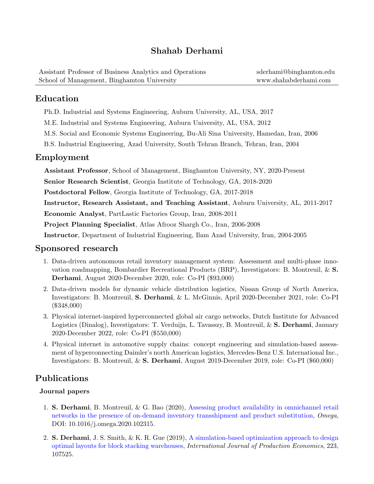# Shahab Derhami

| Assistant Professor of Business Analytics and Operations | sderhami@binghamton.edu |
|----------------------------------------------------------|-------------------------|
| School of Management, Binghamton University              | www.shahabderhami.com   |

### Education

Ph.D. Industrial and Systems Engineering, Auburn University, AL, USA, 2017

M.E. Industrial and Systems Engineering, Auburn University, AL, USA, 2012

M.S. Social and Economic Systems Engineering, Bu-Ali Sina University, Hamedan, Iran, 2006

B.S. Industrial Engineering, Azad University, South Tehran Branch, Tehran, Iran, 2004

#### Employment

Assistant Professor, School of Management, Binghamton University, NY, 2020-Present

Senior Research Scientist, Georgia Institute of Technology, GA, 2018-2020

Postdoctoral Fellow, Georgia Institute of Technology, GA, 2017-2018

Instructor, Research Assistant, and Teaching Assistant, Auburn University, AL, 2011-2017

Economic Analyst, PartLastic Factories Group, Iran, 2008-2011

Project Planning Specialist, Atlas Afrooz Shargh Co., Iran, 2006-2008

Instructor, Department of Industrial Engineering, Ilam Azad University, Iran, 2004-2005

### Sponsored research

- 1. Data-driven autonomous retail inventory management system: Assessment and multi-phase innovation roadmapping, Bombardier Recreational Products (BRP), Investigators: B. Montreuil, & S. Derhami, August 2020-December 2020, role: Co-PI (\$93,000)
- 2. Data-driven models for dynamic vehicle distribution logistics, Nissan Group of North America, Investigators: B. Montreuil, S. Derhami, & L. McGinnis, April 2020-December 2021, role: Co-PI (\$348,000)
- 3. Physical internet-inspired hyperconnected global air cargo networks, Dutch Institute for Advanced Logistics (Dinalog), Investigators: T. Verduijn, L. Tavasszy, B. Montreuil, & S. Derhami, January 2020-December 2022, role: Co-PI (\$550,000)
- 4. Physical internet in automotive supply chains: concept engineering and simulation-based assessment of hyperconnecting Daimler's north American logistics, Mercedes-Benz U.S. International Inc., Investigators: B. Montreuil, & S. Derhami, August 2019-December 2019, role: Co-PI (\$60,000)

### Publications

#### Journal papers

- 1. S. Derhami, B. Montreuil, & G. Bao (2020), [Assessing product availability in omnichannel retail](https://doi.org/10.1016/j.omega.2020.102315) [networks in the presence of on-demand inventory transshipment and product substitution,](https://doi.org/10.1016/j.omega.2020.102315) Omega, DOI: 10.1016/j.omega.2020.102315.
- 2. S. Derhami, J. S. Smith, & K. R. Gue (2019), [A simulation-based optimization approach to design](https://doi.org/10.1016/j.ijpe.2019.107525) [optimal layouts for block stacking warehouses,](https://doi.org/10.1016/j.ijpe.2019.107525) International Journal of Production Economics, 223, 107525.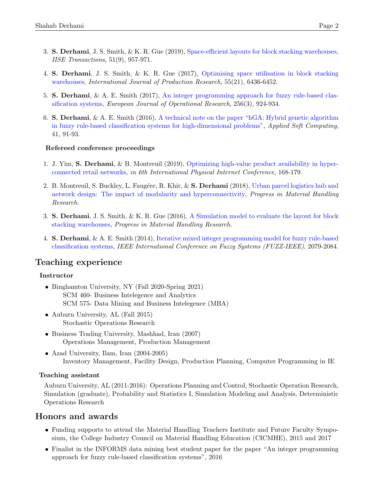- 3. S. Derhami, J. S. Smith, & K. R. Gue (2019), [Space-efficient layouts for block stacking warehouses,](https://doi.org/10.1080/24725854.2018.1539280) IISE Transactions, 51(9), 957-971.
- 4. S. Derhami, J. S. Smith, & K. R. Gue (2017), [Optimising space utilisation in block stacking](https://doi.org/10.1080/00207543.2016.1154216) [warehouses,](https://doi.org/10.1080/00207543.2016.1154216) International Journal of Production Research, 55(21), 6436-6452.
- 5. S. Derhami, & A. E. Smith (2017), [An integer programming approach for fuzzy rule-based clas](https://doi.org/10.1016/j.ejor.2016.06.065)[sification systems,](https://doi.org/10.1016/j.ejor.2016.06.065) European Journal of Operational Research, 256(3), 924-934.
- 6. S. Derhami, & A. E. Smith (2016), [A technical note on the paper "hGA: Hybrid genetic algorithm](https://doi.org/10.1016/j.asoc.2015.10.016) [in fuzzy rule-based classification systems for high-dimensional problems",](https://doi.org/10.1016/j.asoc.2015.10.016) Applied Soft Computing, 41, 91-93.

#### Refereed conference proceedings

- 1. J. Yim, S. Derhami, & B. Montreuil  $(2019)$ , [Optimizing high-value product availability in hyper](https://www.pi.events/sites/default/files/IPIC2019%20-%20processing%20paper%20poster-%20publication_FL%20v190902.03.pdf)[connected retail networks,](https://www.pi.events/sites/default/files/IPIC2019%20-%20processing%20paper%20poster-%20publication_FL%20v190902.03.pdf) in 6th International Physical Internet Conference, 168-179.
- 2. B. Montreuil, S. Buckley, L. Faugére, R. Khir, & S. Derhami (2018), [Urban parcel logistics hub and](https://digitalcommons.georgiasouthern.edu/cgi/viewcontent.cgi?article=1026&context=pmhr_2018) [network design: The impact of modularity and hyperconnectivity,](https://digitalcommons.georgiasouthern.edu/cgi/viewcontent.cgi?article=1026&context=pmhr_2018) Progress in Material Handling Research.
- 3. S. Derhami, J. S. Smith, & K. R. Gue (2016), [A Simulation model to evaluate the layout for block](https://digitalcommons.georgiasouthern.edu/cgi/viewcontent.cgi?article=1008&context=pmhr_2016) [stacking warehouses,](https://digitalcommons.georgiasouthern.edu/cgi/viewcontent.cgi?article=1008&context=pmhr_2016) Progress in Material Handling Research.
- 4. S. Derhami, & A. E. Smith (2014), [Iterative mixed integer programming model for fuzzy rule-based](https://doi.org/10.1109/FUZZ-IEEE.2014.6891822) [classification systems,](https://doi.org/10.1109/FUZZ-IEEE.2014.6891822) IEEE International Conference on Fuzzy Systems (FUZZ-IEEE), 2079-2084.

### Teaching experience

#### Instructor

- Binghamton University, NY (Fall 2020-Spring 2021) SCM 460- Business Intelegence and Analytics SCM 575- Data Mining and Business Intelegence (MBA)
- Auburn University, AL (Fall 2015) Stochastic Operations Research
- Business Trading University, Mashhad, Iran (2007) Operations Management, Production Management
- Azad University, Ilam, Iran (2004-2005) Inventory Management, Facility Design, Production Planning, Computer Programming in IE

#### Teaching assistant

Auburn University, AL (2011-2016): Operations Planning and Control, Stochastic Operation Research, Simulation (graduate), Probability and Statistics I, Simulation Modeling and Analysis, Deterministic Operations Research

### Honors and awards

- Funding supports to attend the Material Handling Teachers Institute and Future Faculty Symposium, the College Industry Council on Material Handling Education (CICMHE), 2015 and 2017
- Finalist in the INFORMS data mining best student paper for the paper "An integer programming approach for fuzzy rule-based classification systems", 2016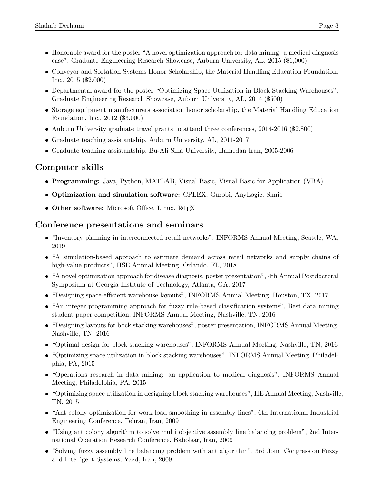- Honorable award for the poster "A novel optimization approach for data mining: a medical diagnosis case", Graduate Engineering Research Showcase, Auburn University, AL, 2015 (\$1,000)
- Conveyor and Sortation Systems Honor Scholarship, the Material Handling Education Foundation, Inc., 2015 (\$2,000)
- Departmental award for the poster "Optimizing Space Utilization in Block Stacking Warehouses", Graduate Engineering Research Showcase, Auburn University, AL, 2014 (\$500)
- Storage equipment manufacturers association honor scholarship, the Material Handling Education Foundation, Inc., 2012 (\$3,000)
- Auburn University graduate travel grants to attend three conferences, 2014-2016 (\$2,800)
- Graduate teaching assistantship, Auburn University, AL, 2011-2017
- Graduate teaching assistantship, Bu-Ali Sina University, Hamedan Iran, 2005-2006

# Computer skills

- Programming: Java, Python, MATLAB, Visual Basic, Visual Basic for Application (VBA)
- Optimization and simulation software: CPLEX, Gurobi, AnyLogic, Simio
- Other software: Microsoft Office, Linux, LAT<sub>E</sub>X

### Conference presentations and seminars

- "Inventory planning in interconnected retail networks", INFORMS Annual Meeting, Seattle, WA, 2019
- "A simulation-based approach to estimate demand across retail networks and supply chains of high-value products", IISE Annual Meeting, Orlando, FL, 2018
- "A novel optimization approach for disease diagnosis, poster presentation", 4th Annual Postdoctoral Symposium at Georgia Institute of Technology, Atlanta, GA, 2017
- "Designing space-efficient warehouse layouts", INFORMS Annual Meeting, Houston, TX, 2017
- "An integer programming approach for fuzzy rule-based classification systems", Best data mining student paper competition, INFORMS Annual Meeting, Nashville, TN, 2016
- "Designing layouts for bock stacking warehouses", poster presentation, INFORMS Annual Meeting, Nashville, TN, 2016
- "Optimal design for block stacking warehouses", INFORMS Annual Meeting, Nashville, TN, 2016
- "Optimizing space utilization in block stacking warehouses", INFORMS Annual Meeting, Philadelphia, PA, 2015
- "Operations research in data mining: an application to medical diagnosis", INFORMS Annual Meeting, Philadelphia, PA, 2015
- "Optimizing space utilization in designing block stacking warehouses", IIE Annual Meeting, Nashville, TN, 2015
- "Ant colony optimization for work load smoothing in assembly lines", 6th International Industrial Engineering Conference, Tehran, Iran, 2009
- "Using ant colony algorithm to solve multi objective assembly line balancing problem", 2nd International Operation Research Conference, Babolsar, Iran, 2009
- "Solving fuzzy assembly line balancing problem with ant algorithm", 3rd Joint Congress on Fuzzy and Intelligent Systems, Yazd, Iran, 2009